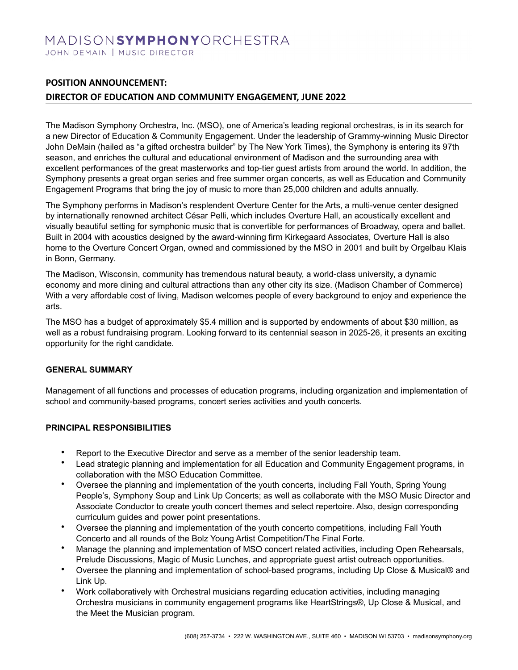# MADISONSYMPHONYORCHESTRA JOHN DEMAIN | MUSIC DIRECTOR

## **POSITION ANNOUNCEMENT:**

### **DIRECTOR OF EDUCATION AND COMMUNITY ENGAGEMENT, JUNE 2022**

The Madison Symphony Orchestra, Inc. (MSO), one of America's leading regional orchestras, is in its search for a new Director of Education & Community Engagement. Under the leadership of Grammy-winning Music Director John DeMain (hailed as "a gifted orchestra builder" by The New York Times), the Symphony is entering its 97th season, and enriches the cultural and educational environment of Madison and the surrounding area with excellent performances of the great masterworks and top-tier guest artists from around the world. In addition, the Symphony presents a great organ series and free summer organ concerts, as well as Education and Community Engagement Programs that bring the joy of music to more than 25,000 children and adults annually.

The Symphony performs in Madison's resplendent Overture Center for the Arts, a multi-venue center designed by internationally renowned architect César Pelli, which includes Overture Hall, an acoustically excellent and visually beautiful setting for symphonic music that is convertible for performances of Broadway, opera and ballet. Built in 2004 with acoustics designed by the award-winning firm Kirkegaard Associates, Overture Hall is also home to the Overture Concert Organ, owned and commissioned by the MSO in 2001 and built by Orgelbau Klais in Bonn, Germany.

The Madison, Wisconsin, community has tremendous natural beauty, a world-class university, a dynamic economy and more dining and cultural attractions than any other city its size. (Madison Chamber of Commerce) With a very affordable cost of living, Madison welcomes people of every background to enjoy and experience the arts.

The MSO has a budget of approximately \$5.4 million and is supported by endowments of about \$30 million, as well as a robust fundraising program. Looking forward to its centennial season in 2025-26, it presents an exciting opportunity for the right candidate.

#### **GENERAL SUMMARY**

Management of all functions and processes of education programs, including organization and implementation of school and community-based programs, concert series activities and youth concerts.

#### **PRINCIPAL RESPONSIBILITIES**

- Report to the Executive Director and serve as a member of the senior leadership team.
- Lead strategic planning and implementation for all Education and Community Engagement programs, in collaboration with the MSO Education Committee.
- Oversee the planning and implementation of the youth concerts, including Fall Youth, Spring Young People's, Symphony Soup and Link Up Concerts; as well as collaborate with the MSO Music Director and Associate Conductor to create youth concert themes and select repertoire. Also, design corresponding curriculum guides and power point presentations.
- Oversee the planning and implementation of the youth concerto competitions, including Fall Youth Concerto and all rounds of the Bolz Young Artist Competition/The Final Forte.
- Manage the planning and implementation of MSO concert related activities, including Open Rehearsals, Prelude Discussions, Magic of Music Lunches, and appropriate guest artist outreach opportunities.
- Oversee the planning and implementation of school-based programs, including Up Close & Musical® and Link Up.
- Work collaboratively with Orchestral musicians regarding education activities, including managing Orchestra musicians in community engagement programs like HeartStrings®, Up Close & Musical, and the Meet the Musician program.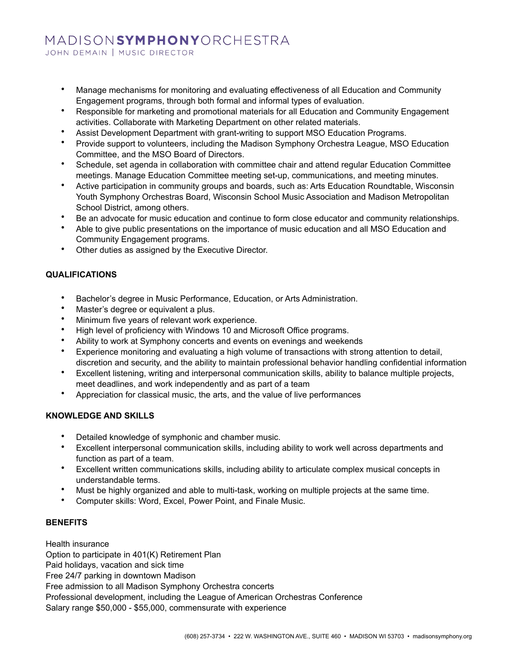# MADISONSYMPHONYORCHESTRA

JOHN DEMAIN | MUSIC DIRECTOR

- Manage mechanisms for monitoring and evaluating effectiveness of all Education and Community Engagement programs, through both formal and informal types of evaluation.
- Responsible for marketing and promotional materials for all Education and Community Engagement activities. Collaborate with Marketing Department on other related materials.
- Assist Development Department with grant-writing to support MSO Education Programs.
- Provide support to volunteers, including the Madison Symphony Orchestra League, MSO Education Committee, and the MSO Board of Directors.
- Schedule, set agenda in collaboration with committee chair and attend regular Education Committee meetings. Manage Education Committee meeting set-up, communications, and meeting minutes.
- Active participation in community groups and boards, such as: Arts Education Roundtable, Wisconsin Youth Symphony Orchestras Board, Wisconsin School Music Association and Madison Metropolitan School District, among others.
- Be an advocate for music education and continue to form close educator and community relationships.
- Able to give public presentations on the importance of music education and all MSO Education and Community Engagement programs.
- Other duties as assigned by the Executive Director.

#### **QUALIFICATIONS**

- Bachelor's degree in Music Performance, Education, or Arts Administration.
- Master's degree or equivalent a plus.
- Minimum five years of relevant work experience.
- High level of proficiency with Windows 10 and Microsoft Office programs.
- Ability to work at Symphony concerts and events on evenings and weekends
- Experience monitoring and evaluating a high volume of transactions with strong attention to detail, discretion and security, and the ability to maintain professional behavior handling confidential information
- Excellent listening, writing and interpersonal communication skills, ability to balance multiple projects, meet deadlines, and work independently and as part of a team
- Appreciation for classical music, the arts, and the value of live performances

#### **KNOWLEDGE AND SKILLS**

- Detailed knowledge of symphonic and chamber music.
- Excellent interpersonal communication skills, including ability to work well across departments and function as part of a team.
- Excellent written communications skills, including ability to articulate complex musical concepts in understandable terms.
- Must be highly organized and able to multi-task, working on multiple projects at the same time.
- Computer skills: Word, Excel, Power Point, and Finale Music.

#### **BENEFITS**

Health insurance Option to participate in 401(K) Retirement Plan Paid holidays, vacation and sick time Free 24/7 parking in downtown Madison Free admission to all Madison Symphony Orchestra concerts Professional development, including the League of American Orchestras Conference Salary range \$50,000 - \$55,000, commensurate with experience